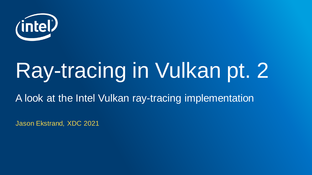

# Ray-tracing in Vulkan pt. 2

A look at the Intel Vulkan ray-tracing implementation

Jason Ekstrand, XDC 2021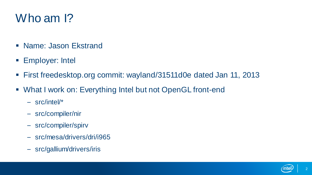#### Who am 1?

- Name: Jason Ekstrand
- Employer: Intel
- First freedesktop.org commit: wayland/31511d0e dated Jan 11, 2013
- What I work on: Everything Intel but not OpenGL front-end
	- src/intel/\*
	- src/compiler/nir
	- src/compiler/spirv
	- src/mesa/drivers/dri/i965
	- src/gallium/drivers/iris

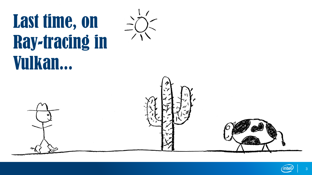# Last time, on Ray-tracing in Vulkan...





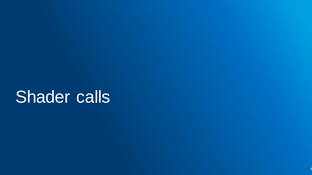### Shader calls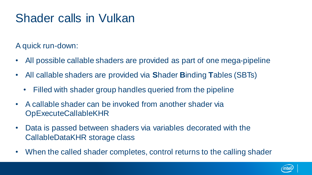#### Shader calls in Vulkan

A quick run-down:

- All possible callable shaders are provided as part of one mega-pipeline
- All callable shaders are provided via **S**hader **B**inding **T**ables (SBTs)
	- Filled with shader group handles queried from the pipeline
- A callable shader can be invoked from another shader via OpExecuteCallableKHR
- Data is passed between shaders via variables decorated with the CallableDataKHR storage class
- When the called shader completes, control returns to the calling shader

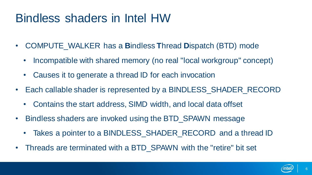#### Bindless shaders in Intel HW

- COMPUTE\_WALKER has a **B**indless **T**hread **D**ispatch (BTD) mode
	- Incompatible with shared memory (no real "local workgroup" concept)
	- Causes it to generate a thread ID for each invocation
- Each callable shader is represented by a BINDLESS SHADER RECORD
	- Contains the start address, SIMD width, and local data offset
- Bindless shaders are invoked using the BTD\_SPAWN message
	- Takes a pointer to a BINDLESS SHADER RECORD and a thread ID
- Threads are terminated with a BTD SPAWN with the "retire" bit set

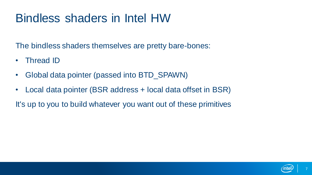#### Bindless shaders in Intel HW

The bindless shaders themselves are pretty bare-bones:

- Thread ID
- Global data pointer (passed into BTD\_SPAWN)
- Local data pointer (BSR address + local data offset in BSR)

It's up to you to build whatever you want out of these primitives

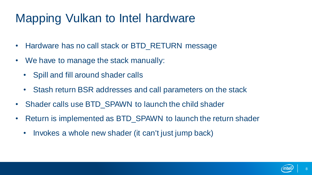#### Mapping Vulkan to Intel hardware

- Hardware has no call stack or BTD\_RETURN message
- We have to manage the stack manually:
	- Spill and fill around shader calls
	- Stash return BSR addresses and call parameters on the stack
- Shader calls use BTD SPAWN to launch the child shader
- Return is implemented as BTD\_SPAWN to launch the return shader
	- Invokes a whole new shader (it can't just jump back)

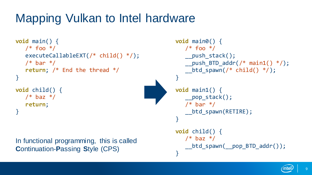#### Mapping Vulkan to Intel hardware

```
void main() {
  /* foo */executeCallableEXT(/* child() */);
  /* bar */return; /* End the thread */
}
void child() {
  /* baz */return;
}
In functional programming, this is called
```
**C**ontinuation-**P**assing **S**tyle (CPS)

```
void main0() {
  /* foo */push stack();
  push BTD addr(/* main1() */);
  btd spawn(/* child() */);
}
void main1() {
  __pop_stack();
  /* bar */__btd_spawn(RETIRE);
}
void child() {
  /* baz */btd spawn( pop BTD addr());
}
```
 $\alpha$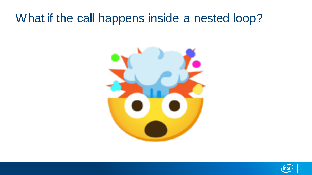#### What if the call happens inside a nested loop?



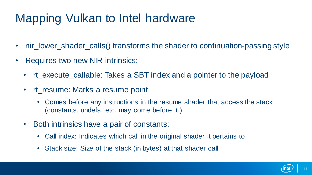#### Mapping Vulkan to Intel hardware

- nir\_lower\_shader\_calls() transforms the shader to continuation-passing style
- Requires two new NIR intrinsics:
	- It execute callable: Takes a SBT index and a pointer to the payload
	- rt\_resume: Marks a resume point
		- Comes before any instructions in the resume shader that access the stack (constants, undefs, etc. may come before it.)
	- Both intrinsics have a pair of constants:
		- Call index: Indicates which call in the original shader it pertains to
		- Stack size: Size of the stack (in bytes) at that shader call

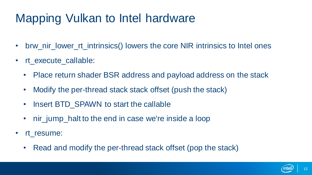#### Mapping Vulkan to Intel hardware

- brw\_nir\_lower\_rt\_intrinsics() lowers the core NIR intrinsics to Intel ones
- rt execute\_callable:
	- Place return shader BSR address and payload address on the stack
	- Modify the per-thread stack stack offset (push the stack)
	- Insert BTD SPAWN to start the callable
	- nir jump halt to the end in case we're inside a loop
- rt\_resume:
	- Read and modify the per-thread stack offset (pop the stack)

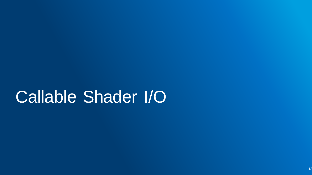### Callable Shader I/O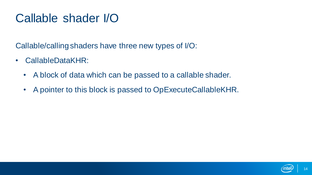#### Callable shader I/O

Callable/calling shaders have three new types of I/O:

- CallableDataKHR:
	- A block of data which can be passed to a callable shader.
	- A pointer to this block is passed to OpExecuteCallableKHR.

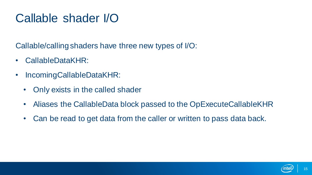#### Callable shader I/O

Callable/calling shaders have three new types of I/O:

- CallableDataKHR:
- IncomingCallableDataKHR:
	- Only exists in the called shader
	- Aliases the CallableData block passed to the OpExecuteCallableKHR
	- Can be read to get data from the caller or written to pass data back.

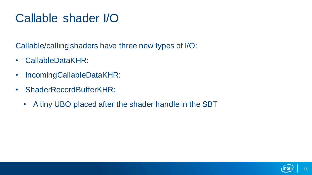#### Callable shader I/O

Callable/calling shaders have three new types of I/O:

- CallableDataKHR:
- IncomingCallableDataKHR:
- ShaderRecordBufferKHR:
	- A tiny UBO placed after the shader handle in the SBT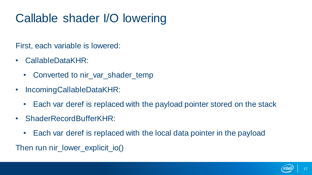#### Callable shader I/O lowering

First, each variable is lowered:

- CallableDataKHR:
	- Converted to nir var shader temp
- IncomingCallableDataKHR:
	- Each var deref is replaced with the payload pointer stored on the stack
- ShaderRecordBufferKHR:
	- Each var deref is replaced with the local data pointer in the payload

Then run nir\_lower\_explicit\_io()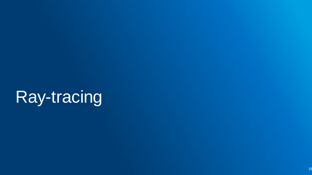## Ray-tracing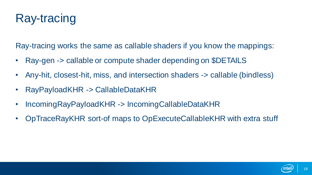#### Ray-tracing

Ray-tracing works the same as callable shaders if you know the mappings:

- Ray-gen -> callable or compute shader depending on \$DETAILS
- Any-hit, closest-hit, miss, and intersection shaders -> callable (bindless)
- RayPayloadKHR -> CallableDataKHR
- IncomingRayPayloadKHR -> IncomingCallableDataKHR
- OpTraceRayKHR sort-of maps to OpExecuteCallableKHR with extra stuff

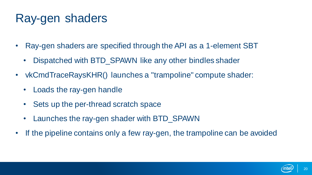#### Ray-gen shaders

- Ray-gen shaders are specified through the API as a 1-element SBT
	- Dispatched with BTD\_SPAWN like any other bindles shader
- vkCmdTraceRaysKHR() launches a "trampoline" compute shader:
	- Loads the ray-gen handle
	- Sets up the per-thread scratch space
	- Launches the ray-gen shader with BTD\_SPAWN
- If the pipeline contains only a few ray-gen, the trampoline can be avoided

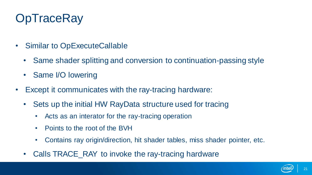#### **OpTraceRay**

- Similar to OpExecuteCallable
	- Same shader splitting and conversion to continuation-passing style
	- Same I/O lowering
- Except it communicates with the ray-tracing hardware:
	- Sets up the initial HW RayData structure used for tracing
		- Acts as an interator for the ray-tracing operation
		- Points to the root of the BVH
		- Contains ray origin/direction, hit shader tables, miss shader pointer, etc.
	- Calls TRACE\_RAY to invoke the ray-tracing hardware

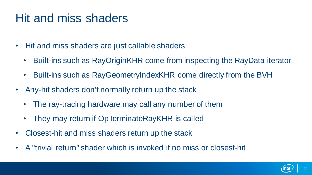#### Hit and miss shaders

- Hit and miss shaders are just callable shaders
	- Built-ins such as RayOriginKHR come from inspecting the RayData iterator
	- Built-ins such as RayGeometryIndexKHR come directly from the BVH
- Any-hit shaders don't normally return up the stack
	- The ray-tracing hardware may call any number of them
	- They may return if OpTerminateRayKHR is called
- Closest-hit and miss shaders return up the stack
- A "trivial return" shader which is invoked if no miss or closest-hit

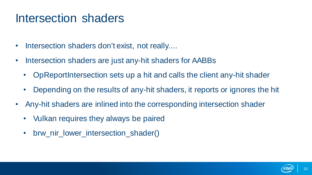#### Intersection shaders

- Intersection shaders don't exist, not really....
- Intersection shaders are just any-hit shaders for AABBs
	- OpReportIntersection sets up a hit and calls the client any-hit shader
	- Depending on the results of any-hit shaders, it reports or ignores the hit
- Any-hit shaders are inlined into the corresponding intersection shader
	- Vulkan requires they always be paired
	- brw\_nir\_lower\_intersection\_shader()

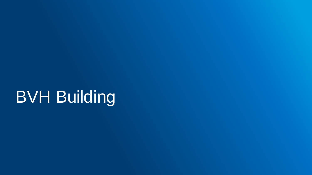### **BVH Building**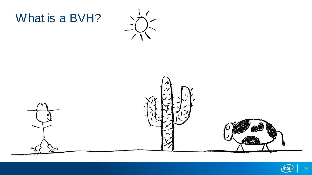





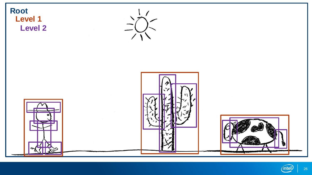

intel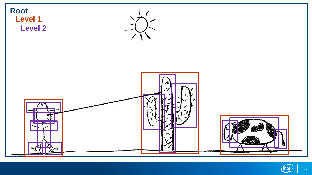

intel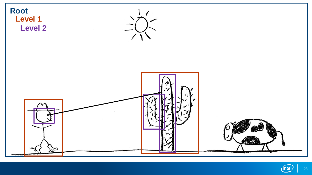

intel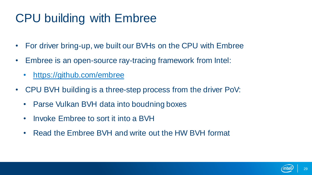#### CPU building with Embree

- For driver bring-up, we built our BVHs on the CPU with Embree
- Embree is an open-source ray-tracing framework from Intel:
	- [https://github.com/embree](https://github.com/embree/embree)
- CPU BVH building is a three-step process from the driver PoV:
	- Parse Vulkan BVH data into boudning boxes
	- Invoke Embree to sort it into a BVH
	- Read the Embree BVH and write out the HW BVH format

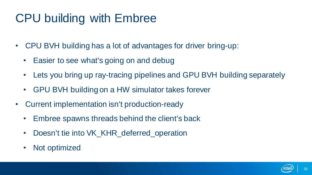#### CPU building with Embree

- CPU BVH building has a lot of advantages for driver bring-up:
	- Easier to see what's going on and debug
	- Lets you bring up ray-tracing pipelines and GPU BVH building separately
	- GPU BVH building on a HW simulator takes forever
- Current implementation isn't production-ready
	- Embree spawns threads behind the client's back
	- Doesn't tie into VK\_KHR\_deferred\_operation
	- Not optimized

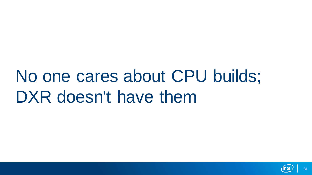### No one cares about CPU builds; DXR doesn't have them

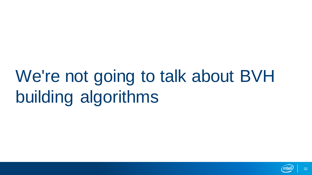### We're not going to talk about BVH building algorithms

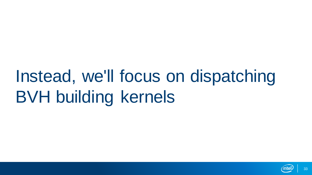### Instead, we'll focus on dispatching BVH building kernels

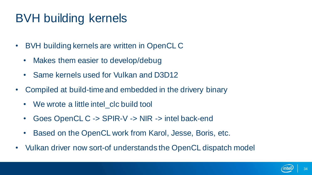#### BVH building kernels

- BVH building kernels are written in OpenCL C
	- Makes them easier to develop/debug
	- Same kernels used for Vulkan and D3D12
- Compiled at build-time and embedded in the drivery binary
	- We wrote a little intel clc build tool
	- Goes OpenCL C -> SPIR-V -> NIR -> intel back-end
	- Based on the OpenCL work from Karol, Jesse, Boris, etc.
- Vulkan driver now sort-of understands the OpenCL dispatch model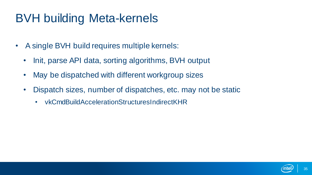#### BVH building Meta-kernels

- A single BVH build requires multiple kernels:
	- Init, parse API data, sorting algorithms, BVH output
	- May be dispatched with different workgroup sizes
	- Dispatch sizes, number of dispatches, etc. may not be static
		- vkCmdBuildAccelerationStructuresIndirectKHR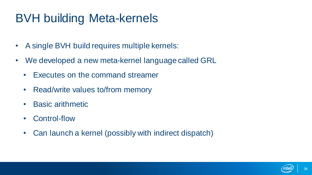#### BVH building Meta-kernels

- A single BVH build requires multiple kernels:
- We developed a new meta-kernel language called GRL
	- Executes on the command streamer
	- Read/write values to/from memory
	- Basic arithmetic
	- Control-flow
	- Can launch a kernel (possibly with indirect dispatch)

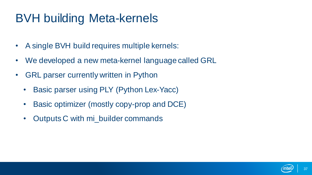#### BVH building Meta-kernels

- A single BVH build requires multiple kernels:
- We developed a new meta-kernel language called GRL
- GRL parser currently written in Python
	- Basic parser using PLY (Python Lex-Yacc)
	- Basic optimizer (mostly copy-prop and DCE)
	- Outputs C with mi\_builder commands

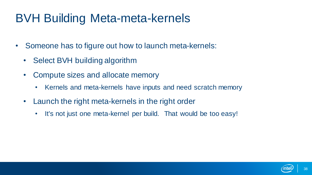#### BVH Building Meta-meta-kernels

- Someone has to figure out how to launch meta-kernels:
	- Select BVH building algorithm
	- Compute sizes and allocate memory
		- Kernels and meta-kernels have inputs and need scratch memory
	- Launch the right meta-kernels in the right order
		- It's not just one meta-kernel per build. That would be too easy!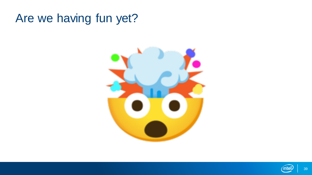#### Are we having fun yet?



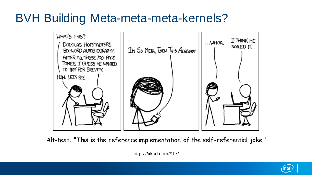#### BVH Building Meta-meta-meta-kernels?



Alt-text: "This is the reference implementation of the self-referential joke."

https://xkcd.com/917/

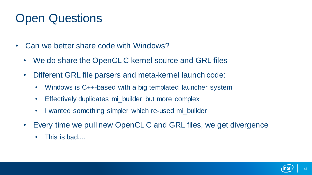- Can we better share code with Windows?
	- We do share the OpenCL C kernel source and GRL files
	- Different GRL file parsers and meta-kernel launch code:
		- Windows is C++-based with a big templated launcher system
		- Effectively duplicates mi\_builder but more complex
		- I wanted something simpler which re-used mi builder
	- Every time we pull new OpenCL C and GRL files, we get divergence
		- This is bad....

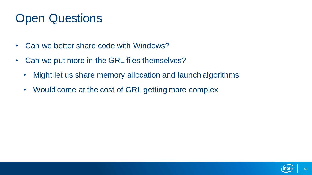- Can we better share code with Windows?
- Can we put more in the GRL files themselves?
	- Might let us share memory allocation and launch algorithms
	- Would come at the cost of GRL getting more complex

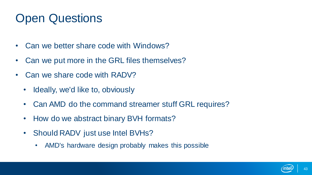- Can we better share code with Windows?
- Can we put more in the GRL files themselves?
- Can we share code with RADV?
	- Ideally, we'd like to, obviously
	- Can AMD do the command streamer stuff GRL requires?
	- How do we abstract binary BVH formats?
	- Should RADV just use Intel BVHs?
		- AMD's hardware design probably makes this possible

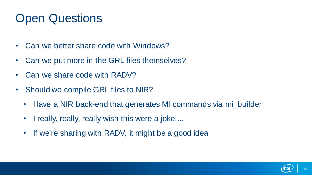- Can we better share code with Windows?
- Can we put more in the GRL files themselves?
- Can we share code with RADV?
- Should we compile GRL files to NIR?
	- Have a NIR back-end that generates MI commands via mi\_builder
	- I really, really, really wish this were a joke....
	- If we're sharing with RADV, it might be a good idea

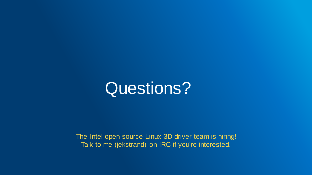

The Intel open-source Linux 3D driver team is hiring! Talk to me (jekstrand) on IRC if you're interested.